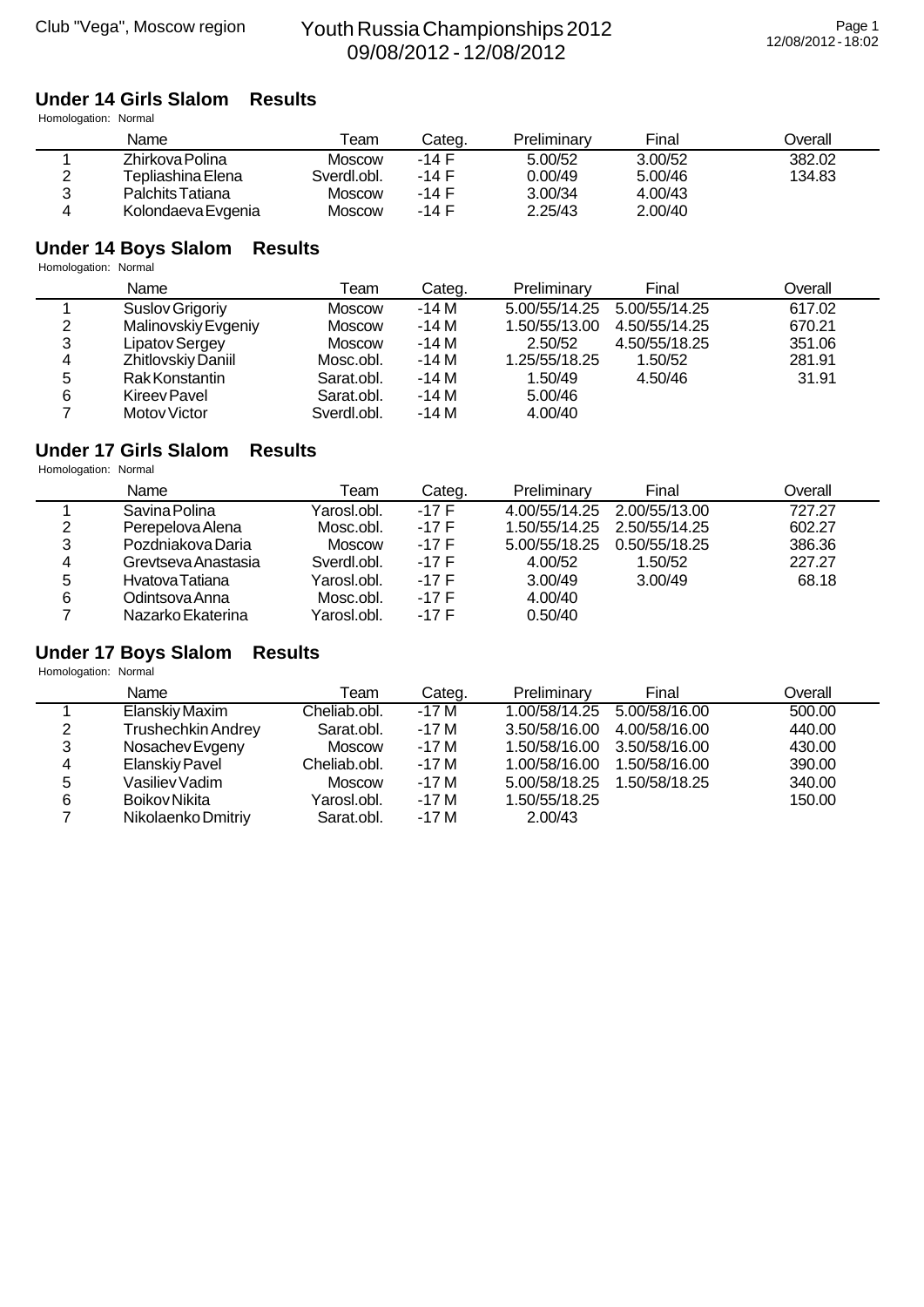#### **Under 14 Girls Slalom Results**

Homologation: Normal

|        | Name               | ⊺eam          | Categ.  | Preliminary | Final   | <b>Dverall</b> |
|--------|--------------------|---------------|---------|-------------|---------|----------------|
|        | Zhirkova Polina    | Moscow        | $-14$ F | 5.00/52     | 3.00/52 | 382.02         |
| ົ<br>_ | Tepliashina Elena  | Sverdl.obl.   | -14 F   | 0.00/49     | 5.00/46 | 134.83         |
| າ      | Palchits Tatiana   | <b>Moscow</b> | -14 F   | 3.00/34     | 4.00/43 |                |
| 4      | Kolondaeva Evgenia | Moscow        | -14 F   | 2.25/43     | 2.00/40 |                |

#### **Under 14 Boys Slalom Results**

Homologation: Normal

|   | Name                | Team          | Categ. | Preliminary   | Final         | Overall |
|---|---------------------|---------------|--------|---------------|---------------|---------|
|   | Suslov Grigoriy     | <b>Moscow</b> | -14 M  | 5.00/55/14.25 | 5.00/55/14.25 | 617.02  |
| 2 | Malinovskiy Evgeniy | <b>Moscow</b> | $-14M$ | 1.50/55/13.00 | 4.50/55/14.25 | 670.21  |
| 3 | Lipatov Sergey      | <b>Moscow</b> | -14 M  | 2.50/52       | 4.50/55/18.25 | 351.06  |
| 4 | Zhitlovskiy Daniil  | Mosc.obl.     | $-14M$ | 1.25/55/18.25 | 1.50/52       | 281.91  |
| 5 | Rak Konstantin      | Sarat.obl.    | $-14M$ | 1.50/49       | 4.50/46       | 31.91   |
| 6 | Kireev Pavel        | Sarat.obl.    | $-14M$ | 5.00/46       |               |         |
|   | Motov Victor        | Sverdl.obl.   | $-14M$ | 4.00/40       |               |         |

#### **Under 17 Girls Slalom Results**

Homologation: Normal

|   | Name                | Team        | Categ.  | Preliminary   | Final         | Overall |
|---|---------------------|-------------|---------|---------------|---------------|---------|
|   | Savina Polina       | Yarosl.obl. | -17 F   | 4.00/55/14.25 | 2.00/55/13.00 | 727.27  |
| 2 | Perepelova Alena    | Mosc.obl.   | $-17$ F | 1.50/55/14.25 | 2.50/55/14.25 | 602.27  |
| 3 | Pozdniakova Daria   | Moscow      | $-17F$  | 5.00/55/18.25 | 0.50/55/18.25 | 386.36  |
| 4 | Grevtseva Anastasia | Sverdl.obl. | $-17F$  | 4.00/52       | 1.50/52       | 227.27  |
| 5 | Hyatova Tatiana     | Yarosl.obl. | $-17F$  | 3.00/49       | 3.00/49       | 68.18   |
| 6 | Odintsova Anna      | Mosc.obl.   | $-17F$  | 4.00/40       |               |         |
|   | Nazarko Ekaterina   | Yarosl.obl. | $-17F$  | 0.50/40       |               |         |

# **Under 17 Boys Slalom Results**

|   | Name                      | Team         | Categ. | Preliminary   | Final                       | Overall |
|---|---------------------------|--------------|--------|---------------|-----------------------------|---------|
|   | Elanskiy Maxim            | Cheliab.obl. | -17 M  |               | 1.00/58/14.25 5.00/58/16.00 | 500.00  |
| 2 | <b>Trushechkin Andrey</b> | Sarat.obl.   | $-17M$ | 3.50/58/16.00 | 4.00/58/16.00               | 440.00  |
| 3 | Nosachev Evgeny           | Moscow       | -17 M  |               | 1.50/58/16.00 3.50/58/16.00 | 430.00  |
| 4 | Elanskiy Pavel            | Cheliab.obl. | -17 M  | 1.00/58/16.00 | 1.50/58/16.00               | 390.00  |
| 5 | Vasiliev Vadim            | Moscow       | $-17M$ | 5.00/58/18.25 | 1.50/58/18.25               | 340.00  |
| 6 | Boikov Nikita             | Yarosl.obl.  | -17 M  | 1.50/55/18.25 |                             | 150.00  |
|   | Nikolaenko Dmitriy        | Sarat.obl.   | $-17M$ | 2.00/43       |                             |         |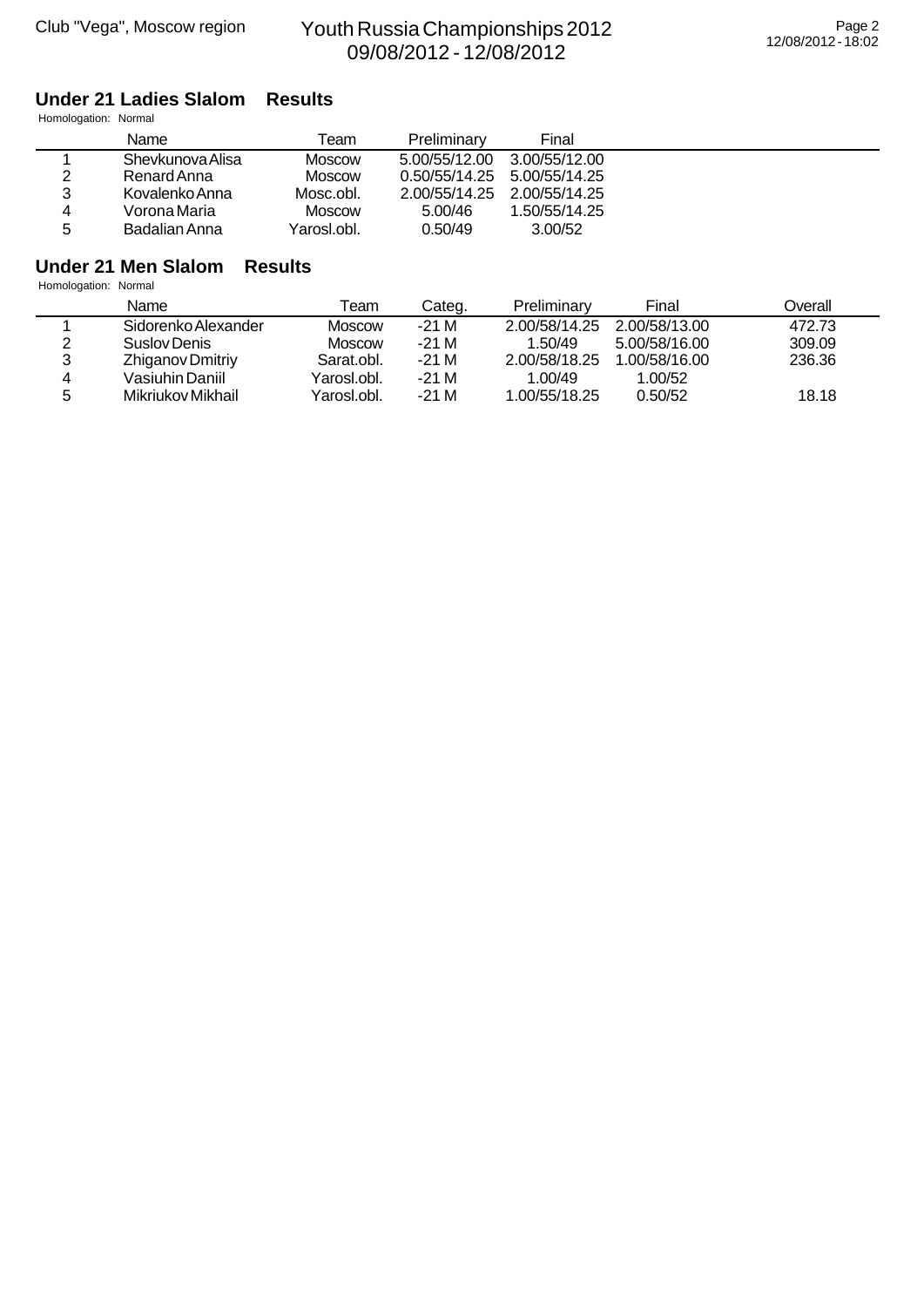### **Under 21 Ladies Slalom Results**

Homologation: Normal

|   | Name             | Геаm        | Preliminary   | Final         |
|---|------------------|-------------|---------------|---------------|
|   | Shevkunova Alisa | Moscow      | 5.00/55/12.00 | 3.00/55/12.00 |
| 2 | Renard Anna      | Moscow      | 0.50/55/14.25 | 5.00/55/14.25 |
| 3 | Kovalenko Anna   | Mosc.obl.   | 2.00/55/14.25 | 2.00/55/14.25 |
| 4 | Vorona Maria     | Moscow      | 5.00/46       | 1.50/55/14.25 |
| 5 | Badalian Anna    | Yarosl.obl. | 0.50/49       | 3.00/52       |

# **Under 21 Men Slalom Results**

|   | Name                | Team        | Categ. | Preliminary   | Final         | Dverall |
|---|---------------------|-------------|--------|---------------|---------------|---------|
|   | Sidorenko Alexander | Moscow      | -21 M  | 2.00/58/14.25 | 2.00/58/13.00 | 472.73  |
|   | Suslov Denis        | Moscow      | -21 M  | 1.50/49       | 5.00/58/16.00 | 309.09  |
|   | Zhiganov Dmitriy    | Sarat.obl.  | -21 M  | 2.00/58/18.25 | 1.00/58/16.00 | 236.36  |
|   | Vasiuhin Daniil     | Yarosl.obl. | -21 M  | 1.00/49       | .00/52        |         |
| 5 | Mikriukov Mikhail   | Yarosl.obl. | -21 M  | 1.00/55/18.25 | 0.50/52       | 18.18   |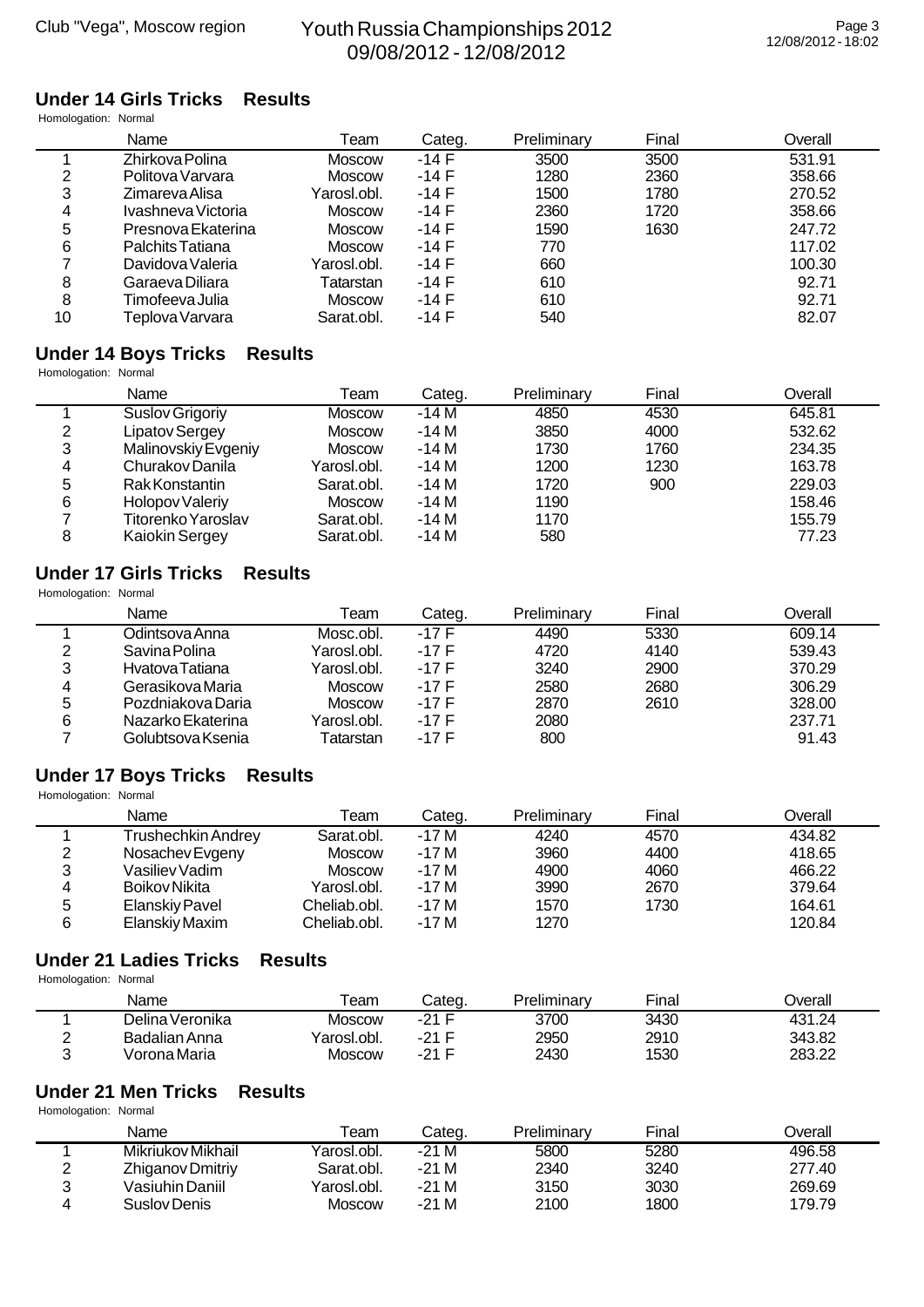### **Under 14 Girls Tricks Results**

Homologation: Normal

|    | Name               | Team          | Categ.  | Preliminary | Final | Overall |
|----|--------------------|---------------|---------|-------------|-------|---------|
|    | Zhirkova Polina    | Moscow        | $-14$ F | 3500        | 3500  | 531.91  |
| 2  | Politova Varvara   | <b>Moscow</b> | $-14F$  | 1280        | 2360  | 358.66  |
| 3  | Zimareva Alisa     | Yarosl.obl.   | $-14F$  | 1500        | 1780  | 270.52  |
| 4  | Ivashneva Victoria | <b>Moscow</b> | $-14F$  | 2360        | 1720  | 358.66  |
| 5  | Presnova Ekaterina | <b>Moscow</b> | $-14F$  | 1590        | 1630  | 247.72  |
| 6  | Palchits Tatiana   | <b>Moscow</b> | $-14F$  | 770         |       | 117.02  |
|    | Davidova Valeria   | Yarosl.obl.   | $-14F$  | 660         |       | 100.30  |
| 8  | Garaeva Diliara    | Tatarstan     | $-14F$  | 610         |       | 92.71   |
| 8  | Timofeeva Julia    | <b>Moscow</b> | $-14F$  | 610         |       | 92.71   |
| 10 | Teplova Varvara    | Sarat.obl.    | -14 F   | 540         |       | 82.07   |

#### **Under 14 Boys Tricks Results**

|   | Name                  | Team          | Categ. | Preliminary | Final | Overall |
|---|-----------------------|---------------|--------|-------------|-------|---------|
|   | Suslov Grigoriy       | <b>Moscow</b> | $-14M$ | 4850        | 4530  | 645.81  |
| 2 | Lipatov Sergey        | <b>Moscow</b> | $-14M$ | 3850        | 4000  | 532.62  |
| 3 | Malinovskiy Evgeniy   | Moscow        | $-14M$ | 1730        | 1760  | 234.35  |
| 4 | Churakov Danila       | Yarosl.obl.   | $-14M$ | 1200        | 1230  | 163.78  |
| 5 | Rak Konstantin        | Sarat.obl.    | $-14M$ | 1720        | 900   | 229.03  |
| 6 | Holopov Valeriy       | Moscow        | $-14M$ | 1190        |       | 158.46  |
|   | Titorenko Yaroslav    | Sarat.obl.    | $-14M$ | 1170        |       | 155.79  |
| 8 | <b>Kaiokin Sergey</b> | Sarat.obl.    | -14 M  | 580         |       | 77.23   |

#### **Under 17 Girls Tricks Results** Homologation: Normal

| HOINOlogation. Nonnai |                   |               |         |             |       |         |  |  |  |
|-----------------------|-------------------|---------------|---------|-------------|-------|---------|--|--|--|
|                       | Name              | Team          | Categ.  | Preliminary | Final | Overall |  |  |  |
|                       | Odintsova Anna    | Mosc.obl.     | $-17$ F | 4490        | 5330  | 609.14  |  |  |  |
| 2                     | Savina Polina     | Yarosl.obl.   | -17 F   | 4720        | 4140  | 539.43  |  |  |  |
| 3                     | Hvatova Tatiana   | Yarosl.obl.   | -17 F   | 3240        | 2900  | 370.29  |  |  |  |
| 4                     | Gerasikova Maria  | Moscow        | -17 F   | 2580        | 2680  | 306.29  |  |  |  |
| 5                     | Pozdniakova Daria | <b>Moscow</b> | -17 F   | 2870        | 2610  | 328.00  |  |  |  |
| 6                     | Nazarko Ekaterina | Yarosl.obl.   | -17 F   | 2080        |       | 237.71  |  |  |  |
|                       | Golubtsova Ksenia | Tatarstan     | -17 F   | 800         |       | 91.43   |  |  |  |

# **Under 17 Boys Tricks Results**

Homologation: Normal

|   | Name                  | Team         | Categ. | Preliminary | Final | Overall |
|---|-----------------------|--------------|--------|-------------|-------|---------|
|   | Trushechkin Andrey    | Sarat.obl.   | -17 M  | 4240        | 4570  | 434.82  |
| 2 | Nosachev Evgeny       | Moscow       | -17 M  | 3960        | 4400  | 418.65  |
| 3 | Vasiliev Vadim        | Moscow       | $-17M$ | 4900        | 4060  | 466.22  |
| 4 | Boikov Nikita         | Yarosl.obl.  | $-17M$ | 3990        | 2670  | 379.64  |
| 5 | <b>Elanskiy Pavel</b> | Cheliab.obl. | $-17M$ | 1570        | 1730  | 164.61  |
| 6 | Elanskiy Maxim        | Cheliab.obl. | $-17M$ | 1270        |       | 120.84  |

#### **Under 21 Ladies Tricks Results**

Homologation: Normal

| Name            | ⊺eam                    | Categ.  | Preliminary | Final | )verall |
|-----------------|-------------------------|---------|-------------|-------|---------|
| Delina Veronika | <b>Moscow</b>           | $-21$ F | 3700        | 3430  | 431.24  |
| Badalian Anna   | <sup>∨</sup> arosl.obl. | -21 F   | 2950        | 2910  | 343.82  |
| √orona Maria    | <b>Moscow</b>           | -21 F   | 2430        | 1530  | 283.22  |

#### **Under 21 Men Tricks Results**

|   | Name              | Γeam        | Categ. | Preliminary | Final | ⊃verall |
|---|-------------------|-------------|--------|-------------|-------|---------|
|   | Mikriukov Mikhail | Yarosl.obl. | -21 M  | 5800        | 5280  | 496.58  |
|   | Zhiganov Dmitriy  | Sarat.obl.  | -21 M  | 2340        | 3240  | 277.40  |
| າ | Vasiuhin Daniil   | Yarosl.obl. | $-21M$ | 3150        | 3030  | 269.69  |
|   | Suslov Denis      | Moscow      | $-21M$ | 2100        | 1800  | 179.79  |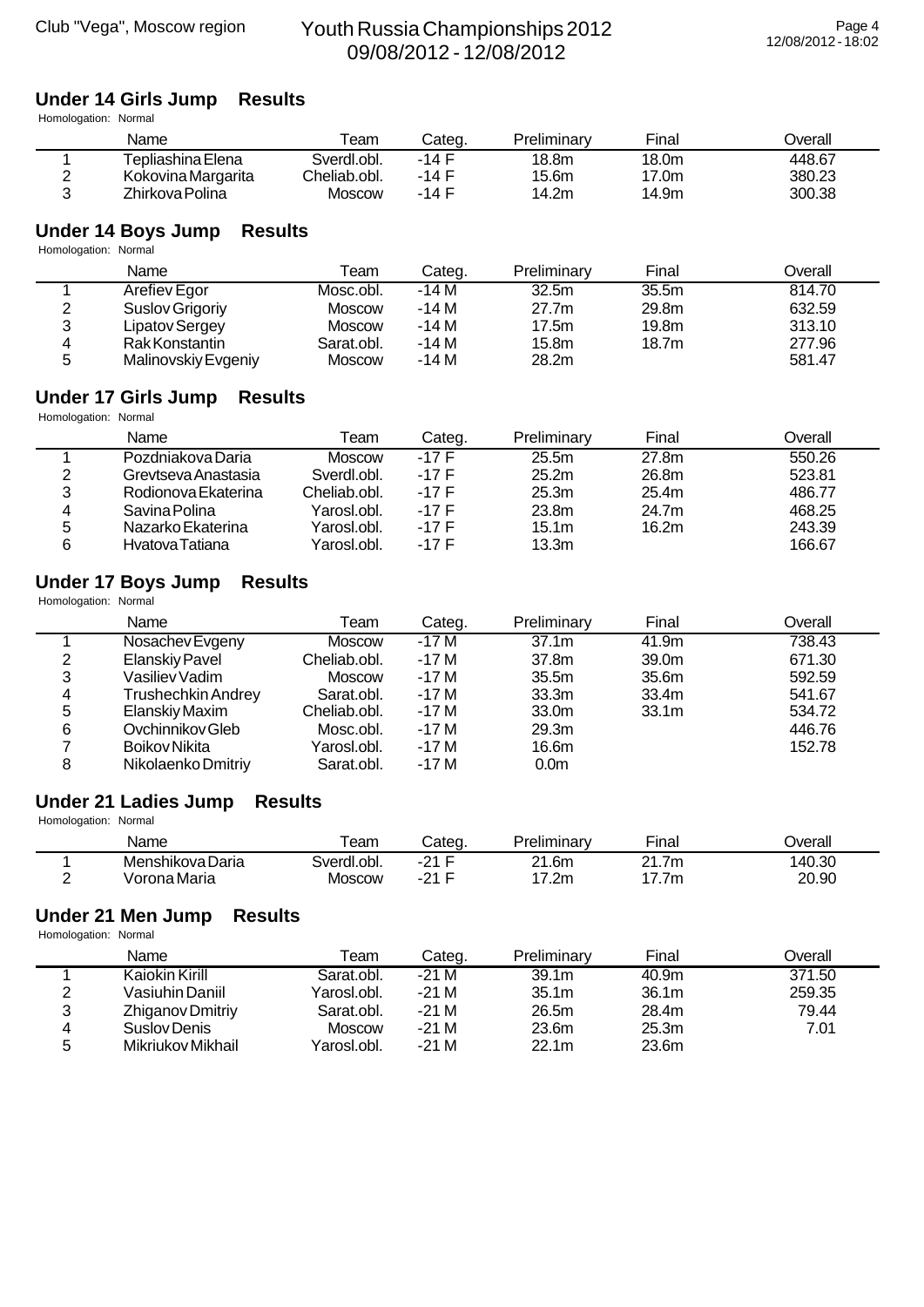# **Under 14 Girls Jump Results**

Homologation: Normal

|   | Name               | Геаm          | Categ.  | Preliminary | Final | ⊃verall |
|---|--------------------|---------------|---------|-------------|-------|---------|
|   | Tepliashina Elena  | Sverdl.obl.   | -14 F   | 18.8m       | 18.0m | 448.67  |
| ◠ | Kokovina Margarita | Cheliab.obl.  | $-14$ F | 15.6m       | 17.0m | 380.23  |
| ົ | Zhirkova Polina    | <b>Moscow</b> | $-14$ F | 14.2m       | 14.9m | 300.38  |

# **Under 14 Boys Jump Results**

Homologation: Normal

|   | Name                | Team       | Categ. | Preliminary       | Final             | Overall |
|---|---------------------|------------|--------|-------------------|-------------------|---------|
|   | Arefiev Egor        | Mosc.obl.  | -14 M  | 32.5 <sub>m</sub> | 35.5 <sub>m</sub> | 814.70  |
| 2 | Suslov Grigoriy     | Moscow     | $-14M$ | 27.7 <sub>m</sub> | 29.8m             | 632.59  |
| 3 | Lipatov Sergey      | Moscow     | $-14M$ | 17.5m             | 19.8m             | 313.10  |
| 4 | Rak Konstantin      | Sarat.obl. | $-14M$ | 15.8m             | 18.7m             | 277.96  |
| 5 | Malinovskiy Evgeniy | Moscow     | $-14M$ | 28.2m             |                   | 581.47  |

#### **Under 17 Girls Jump Results**

Homologation: Normal

|   | Name                | Геаm         | Categ.  | Preliminary       | Final | Overall |
|---|---------------------|--------------|---------|-------------------|-------|---------|
|   | Pozdniakova Daria   | Moscow       | $-17F$  | 25.5m             | 27.8m | 550.26  |
| າ | Grevtseva Anastasia | Sverdl.obl.  | $-17$ F | 25.2m             | 26.8m | 523.81  |
| 3 | Rodionova Ekaterina | Cheliab.obl. | -17 F   | 25.3 <sub>m</sub> | 25.4m | 486.77  |
| 4 | Savina Polina       | Yarosl.obl.  | $-17$ F | 23.8m             | 24.7m | 468.25  |
| 5 | Nazarko Ekaterina   | Yarosl.obl.  | $-17$ F | 15.1m             | 16.2m | 243.39  |
| 6 | Hvatova Tatiana     | Yarosl.obl.  | $-17$ F | 13.3m             |       | 166.67  |

#### **Under 17 Boys Jump Results**

Homologation: Normal

|   | Name               | Team          | Categ. | Preliminary       | Final             | Overall |
|---|--------------------|---------------|--------|-------------------|-------------------|---------|
|   | Nosachev Evgeny    | <b>Moscow</b> | $-17M$ | 37.1 <sub>m</sub> | 41.9m             | 738.43  |
| 2 | Elanskiy Pavel     | Cheliab.obl.  | $-17M$ | 37.8m             | 39.0m             | 671.30  |
| 3 | Vasiliev Vadim     | Moscow        | -17 M  | 35.5 <sub>m</sub> | 35.6m             | 592.59  |
| 4 | Trushechkin Andrey | Sarat.obl.    | $-17M$ | 33.3 <sub>m</sub> | 33.4m             | 541.67  |
| 5 | Elanskiy Maxim     | Cheliab.obl.  | $-17M$ | 33.0m             | 33.1 <sub>m</sub> | 534.72  |
| 6 | Ovchinnikov Gleb   | Mosc.obl.     | $-17M$ | 29.3 <sub>m</sub> |                   | 446.76  |
|   | Boikov Nikita      | Yarosl.obl.   | $-17M$ | 16.6m             |                   | 152.78  |
| 8 | Nikolaenko Dmitriy | Sarat.obl.    | -17 M  | 0.0 <sub>m</sub>  |                   |         |

#### **Under 21 Ladies Jump Results**

Homologation: Normal

|   | Name             | eam           | Cated.          | Preliminary | $- \cdot$<br>'−ınal | <b>Dverall</b> |
|---|------------------|---------------|-----------------|-------------|---------------------|----------------|
|   | Menshikova Daria | Sverdl.obl.   | —<br>$-21$<br>- | 21.6m       | <b>O4</b><br>.7m    | 40.30          |
| - | √orona Maria     | <b>MOSCOW</b> | —<br>$-21$      | 7.2m        | 17.7m               | 20.90          |

#### **Under 21 Men Jump Results**

|   | Name              | Team        | Categ. | Preliminary       | Final             | Overall |
|---|-------------------|-------------|--------|-------------------|-------------------|---------|
|   | Kaiokin Kirill    | Sarat.obl.  | -21 M  | 39.1 <sub>m</sub> | 40.9m             | 371.50  |
|   | Vasiuhin Daniil   | Yarosl.obl. | $-21M$ | 35.1 <sub>m</sub> | 36.1 <sub>m</sub> | 259.35  |
| 3 | Zhiganov Dmitriy  | Sarat.obl.  | -21 M  | 26.5m             | 28.4m             | 79.44   |
| 4 | Suslov Denis      | Moscow      | -21 M  | 23.6m             | 25.3m             | 7.01    |
| ς | Mikriukov Mikhail | Yarosl.obl. | $-21M$ | 22.1 <sub>m</sub> | 23.6m             |         |